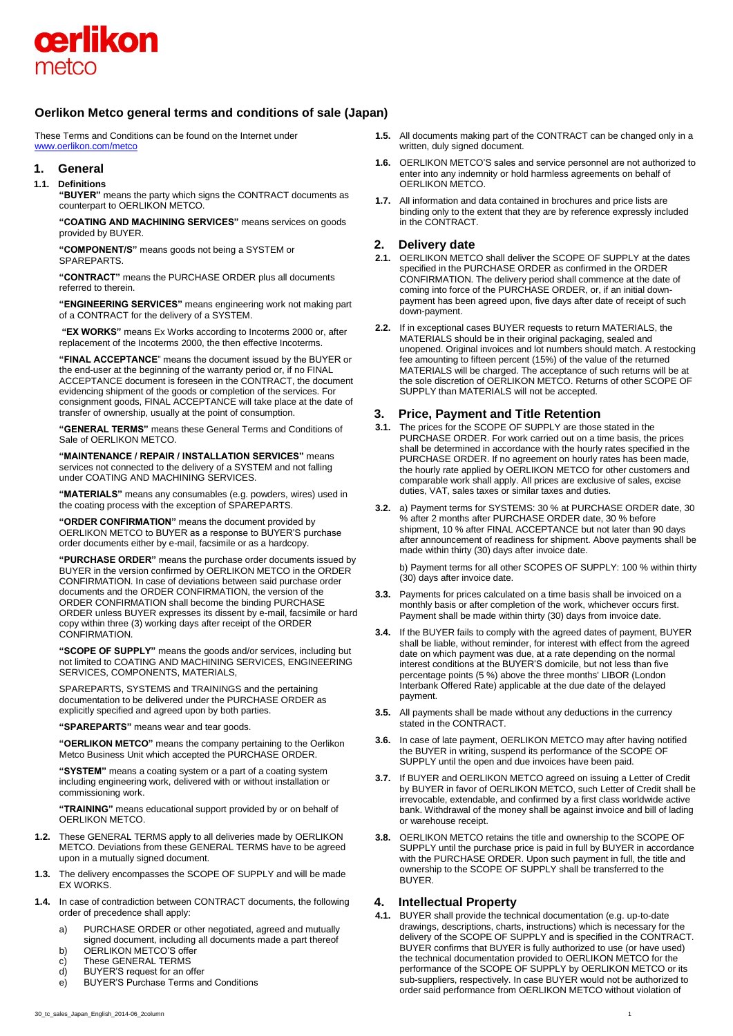

# **Oerlikon Metco general terms and conditions of sale (Japan)**

These Terms and Conditions can be found on the Internet under [www.oerlikon.com/metco](http://www.oerlikon.com/metco)

## **1. General**

**1.1. Definitions** 

**"BUYER"** means the party which signs the CONTRACT documents as counterpart to OERLIKON METCO.

**"COATING AND MACHINING SERVICES"** means services on goods provided by BUYER.

**"COMPONENT/S"** means goods not being a SYSTEM or SPAREPARTS.

**"CONTRACT"** means the PURCHASE ORDER plus all documents referred to therein.

**"ENGINEERING SERVICES"** means engineering work not making part of a CONTRACT for the delivery of a SYSTEM.

**"EX WORKS"** means Ex Works according to Incoterms 2000 or, after replacement of the Incoterms 2000, the then effective Incoterms.

**"FINAL ACCEPTANCE**" means the document issued by the BUYER or the end-user at the beginning of the warranty period or, if no FINAL ACCEPTANCE document is foreseen in the CONTRACT, the document evidencing shipment of the goods or completion of the services. For consignment goods, FINAL ACCEPTANCE will take place at the date of transfer of ownership, usually at the point of consumption.

**"GENERAL TERMS"** means these General Terms and Conditions of Sale of OERLIKON METCO.

**"MAINTENANCE / REPAIR / INSTALLATION SERVICES"** means services not connected to the delivery of a SYSTEM and not falling under COATING AND MACHINING SERVICES.

**"MATERIALS"** means any consumables (e.g. powders, wires) used in the coating process with the exception of SPAREPARTS.

**"ORDER CONFIRMATION"** means the document provided by OERLIKON METCO to BUYER as a response to BUYER'S purchase order documents either by e-mail, facsimile or as a hardcopy.

**"PURCHASE ORDER"** means the purchase order documents issued by BUYER in the version confirmed by OERLIKON METCO in the ORDER CONFIRMATION. In case of deviations between said purchase order documents and the ORDER CONFIRMATION, the version of the ORDER CONFIRMATION shall become the binding PURCHASE ORDER unless BUYER expresses its dissent by e-mail, facsimile or hard copy within three (3) working days after receipt of the ORDER CONFIRMATION.

**"SCOPE OF SUPPLY"** means the goods and/or services, including but not limited to COATING AND MACHINING SERVICES, ENGINEERING SERVICES, COMPONENTS, MATERIALS,

SPAREPARTS, SYSTEMS and TRAININGS and the pertaining documentation to be delivered under the PURCHASE ORDER as explicitly specified and agreed upon by both parties.

**"SPAREPARTS"** means wear and tear goods.

**"OERLIKON METCO"** means the company pertaining to the Oerlikon Metco Business Unit which accepted the PURCHASE ORDER.

**"SYSTEM"** means a coating system or a part of a coating system including engineering work, delivered with or without installation or commissioning work.

**"TRAINING"** means educational support provided by or on behalf of OERLIKON METCO.

- **1.2.** These GENERAL TERMS apply to all deliveries made by OERLIKON METCO. Deviations from these GENERAL TERMS have to be agreed upon in a mutually signed document.
- **1.3.** The delivery encompasses the SCOPE OF SUPPLY and will be made EX WORKS.
- **1.4.** In case of contradiction between CONTRACT documents, the following order of precedence shall apply:
	- a) PURCHASE ORDER or other negotiated, agreed and mutually signed document, including all documents made a part thereof
	- b) OERLIKON METCO'S offer
	- c) These GENERAL TERMS
	- d) BUYER'S request for an offer
	- e) BUYER'S Purchase Terms and Conditions
- **1.5.** All documents making part of the CONTRACT can be changed only in a written, duly signed document.
- **1.6.** OERLIKON METCO'S sales and service personnel are not authorized to enter into any indemnity or hold harmless agreements on behalf of OERLIKON METCO.
- **1.7.** All information and data contained in brochures and price lists are binding only to the extent that they are by reference expressly included in the CONTRACT.

## **2. Delivery date**

- **2.1.** OERLIKON METCO shall deliver the SCOPE OF SUPPLY at the dates specified in the PURCHASE ORDER as confirmed in the ORDER CONFIRMATION. The delivery period shall commence at the date of coming into force of the PURCHASE ORDER, or, if an initial downpayment has been agreed upon, five days after date of receipt of such down-payment.
- **2.2.** If in exceptional cases BUYER requests to return MATERIALS, the MATERIALS should be in their original packaging, sealed and unopened. Original invoices and lot numbers should match. A restocking fee amounting to fifteen percent (15%) of the value of the returned MATERIALS will be charged. The acceptance of such returns will be at the sole discretion of OERLIKON METCO. Returns of other SCOPE OF SUPPLY than MATERIALS will not be accepted.

# **3. Price, Payment and Title Retention**

- **3.1.** The prices for the SCOPE OF SUPPLY are those stated in the PURCHASE ORDER. For work carried out on a time basis, the prices shall be determined in accordance with the hourly rates specified in the PURCHASE ORDER. If no agreement on hourly rates has been made, the hourly rate applied by OERLIKON METCO for other customers and comparable work shall apply. All prices are exclusive of sales, excise duties, VAT, sales taxes or similar taxes and duties.
- **3.2.** a) Payment terms for SYSTEMS: 30 % at PURCHASE ORDER date, 30 % after 2 months after PURCHASE ORDER date, 30 % before shipment, 10 % after FINAL ACCEPTANCE but not later than 90 days after announcement of readiness for shipment. Above payments shall be made within thirty (30) days after invoice date.

b) Payment terms for all other SCOPES OF SUPPLY: 100 % within thirty (30) days after invoice date.

- **3.3.** Payments for prices calculated on a time basis shall be invoiced on a monthly basis or after completion of the work, whichever occurs first. Payment shall be made within thirty (30) days from invoice date.
- **3.4.** If the BUYER fails to comply with the agreed dates of payment, BUYER shall be liable, without reminder, for interest with effect from the agreed date on which payment was due, at a rate depending on the normal interest conditions at the BUYER'S domicile, but not less than five percentage points (5 %) above the three months' LIBOR (London Interbank Offered Rate) applicable at the due date of the delayed payment.
- **3.5.** All payments shall be made without any deductions in the currency stated in the CONTRACT.
- **3.6.** In case of late payment, OERLIKON METCO may after having notified the BUYER in writing, suspend its performance of the SCOPE OF SUPPLY until the open and due invoices have been paid.
- **3.7.** If BUYER and OERLIKON METCO agreed on issuing a Letter of Credit by BUYER in favor of OERLIKON METCO, such Letter of Credit shall be irrevocable, extendable, and confirmed by a first class worldwide active bank. Withdrawal of the money shall be against invoice and bill of lading or warehouse receipt.
- **3.8.** OERLIKON METCO retains the title and ownership to the SCOPE OF SUPPLY until the purchase price is paid in full by BUYER in accordance with the PURCHASE ORDER. Upon such payment in full, the title and ownership to the SCOPE OF SUPPLY shall be transferred to the BUYER.

## **4. Intellectual Property**

**4.1.** BUYER shall provide the technical documentation (e.g. up-to-date drawings, descriptions, charts, instructions) which is necessary for the delivery of the SCOPE OF SUPPLY and is specified in the CONTRACT. BUYER confirms that BUYER is fully authorized to use (or have used) the technical documentation provided to OERLIKON METCO for the performance of the SCOPE OF SUPPLY by OERLIKON METCO or its sub-suppliers, respectively. In case BUYER would not be authorized to order said performance from OERLIKON METCO without violation of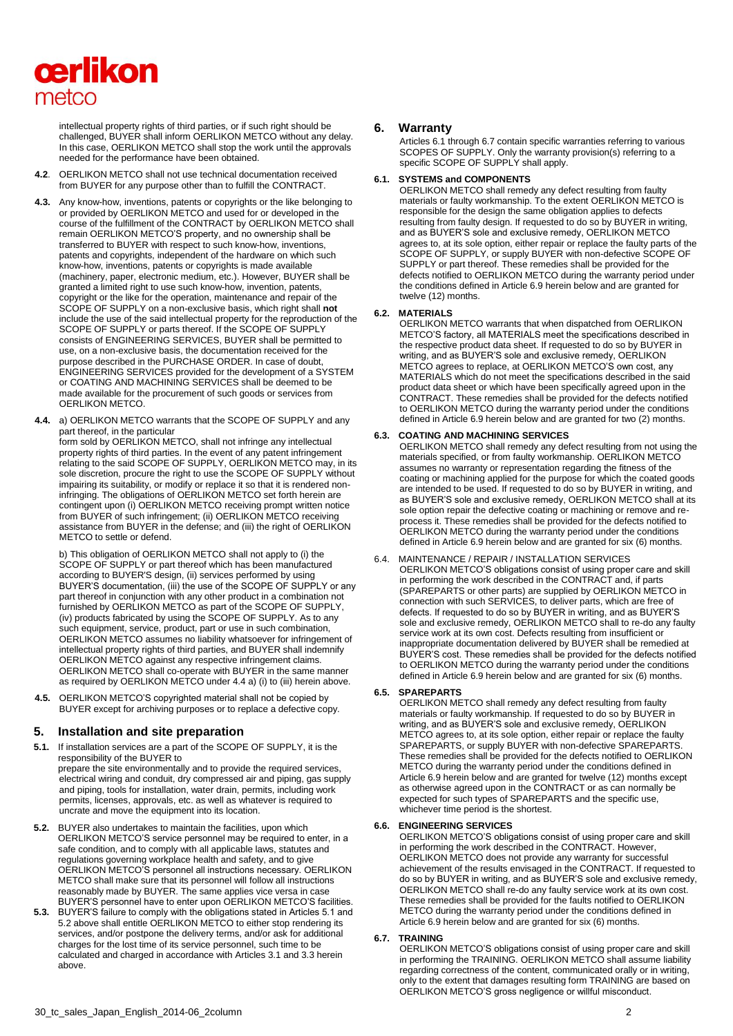

intellectual property rights of third parties, or if such right should be challenged, BUYER shall inform OERLIKON METCO without any delay. In this case, OERLIKON METCO shall stop the work until the approvals needed for the performance have been obtained.

- **4.2**. OERLIKON METCO shall not use technical documentation received from BUYER for any purpose other than to fulfill the CONTRACT.
- **4.3.** Any know-how, inventions, patents or copyrights or the like belonging to or provided by OERLIKON METCO and used for or developed in the course of the fulfillment of the CONTRACT by OERLIKON METCO shall remain OERLIKON METCO'S property, and no ownership shall be transferred to BUYER with respect to such know-how, inventions, patents and copyrights, independent of the hardware on which such know-how, inventions, patents or copyrights is made available (machinery, paper, electronic medium, etc.). However, BUYER shall be granted a limited right to use such know-how, invention, patents, copyright or the like for the operation, maintenance and repair of the SCOPE OF SUPPLY on a non-exclusive basis, which right shall **not** include the use of the said intellectual property for the reproduction of the SCOPE OF SUPPLY or parts thereof. If the SCOPE OF SUPPLY consists of ENGINEERING SERVICES, BUYER shall be permitted to use, on a non-exclusive basis, the documentation received for the purpose described in the PURCHASE ORDER. In case of doubt, ENGINEERING SERVICES provided for the development of a SYSTEM or COATING AND MACHINING SERVICES shall be deemed to be made available for the procurement of such goods or services from OERLIKON METCO.
- **4.4.** a) OERLIKON METCO warrants that the SCOPE OF SUPPLY and any part thereof, in the particular

form sold by OERLIKON METCO, shall not infringe any intellectual property rights of third parties. In the event of any patent infringement relating to the said SCOPE OF SUPPLY, OERLIKON METCO may, in its sole discretion, procure the right to use the SCOPE OF SUPPLY without impairing its suitability, or modify or replace it so that it is rendered noninfringing. The obligations of OERLIKON METCO set forth herein are contingent upon (i) OERLIKON METCO receiving prompt written notice from BUYER of such infringement; (ii) OERLIKON METCO receiving assistance from BUYER in the defense; and (iii) the right of OERLIKON METCO to settle or defend.

b) This obligation of OERLIKON METCO shall not apply to (i) the SCOPE OF SUPPLY or part thereof which has been manufactured according to BUYER'S design, (ii) services performed by using BUYER'S documentation, (iii) the use of the SCOPE OF SUPPLY or any part thereof in conjunction with any other product in a combination not furnished by OERLIKON METCO as part of the SCOPE OF SUPPLY, (iv) products fabricated by using the SCOPE OF SUPPLY. As to any such equipment, service, product, part or use in such combination, OERLIKON METCO assumes no liability whatsoever for infringement of intellectual property rights of third parties, and BUYER shall indemnify OERLIKON METCO against any respective infringement claims. OERLIKON METCO shall co-operate with BUYER in the same manner as required by OERLIKON METCO under 4.4 a) (i) to (iii) herein above.

**4.5.** OERLIKON METCO'S copyrighted material shall not be copied by BUYER except for archiving purposes or to replace a defective copy.

## **5. Installation and site preparation**

**5.1.** If installation services are a part of the SCOPE OF SUPPLY, it is the responsibility of the BUYER to

prepare the site environmentally and to provide the required services, electrical wiring and conduit, dry compressed air and piping, gas supply and piping, tools for installation, water drain, permits, including work permits, licenses, approvals, etc. as well as whatever is required to uncrate and move the equipment into its location.

- **5.2.** BUYER also undertakes to maintain the facilities, upon which OERLIKON METCO'S service personnel may be required to enter, in a safe condition, and to comply with all applicable laws, statutes and regulations governing workplace health and safety, and to give OERLIKON METCO'S personnel all instructions necessary. OERLIKON METCO shall make sure that its personnel will follow all instructions reasonably made by BUYER. The same applies vice versa in case BUYER'S personnel have to enter upon OERLIKON METCO'S facilities.
- **5.3.** BUYER'S failure to comply with the obligations stated in Articles 5.1 and 5.2 above shall entitle OERLIKON METCO to either stop rendering its services, and/or postpone the delivery terms, and/or ask for additional charges for the lost time of its service personnel, such time to be calculated and charged in accordance with Articles 3.1 and 3.3 herein above.

## **6. Warranty**

Articles 6.1 through 6.7 contain specific warranties referring to various SCOPES OF SUPPLY. Only the warranty provision(s) referring to a specific SCOPE OF SUPPLY shall apply.

#### **6.1. SYSTEMS and COMPONENTS**

OERLIKON METCO shall remedy any defect resulting from faulty materials or faulty workmanship. To the extent OERLIKON METCO is responsible for the design the same obligation applies to defects resulting from faulty design. If requested to do so by BUYER in writing, and as BUYER'S sole and exclusive remedy, OERLIKON METCO agrees to, at its sole option, either repair or replace the faulty parts of the SCOPE OF SUPPLY, or supply BUYER with non-defective SCOPE OF SUPPLY or part thereof. These remedies shall be provided for the defects notified to OERLIKON METCO during the warranty period under the conditions defined in Article 6.9 herein below and are granted for twelve (12) months.

#### **6.2. MATERIALS**

OERLIKON METCO warrants that when dispatched from OERLIKON METCO'S factory, all MATERIALS meet the specifications described in the respective product data sheet. If requested to do so by BUYER in writing, and as BUYER'S sole and exclusive remedy, OERLIKON METCO agrees to replace, at OERLIKON METCO'S own cost, any MATERIALS which do not meet the specifications described in the said product data sheet or which have been specifically agreed upon in the CONTRACT. These remedies shall be provided for the defects notified to OERLIKON METCO during the warranty period under the conditions defined in Article 6.9 herein below and are granted for two (2) months.

#### **6.3. COATING AND MACHINING SERVICES**

OERLIKON METCO shall remedy any defect resulting from not using the materials specified, or from faulty workmanship. OERLIKON METCO assumes no warranty or representation regarding the fitness of the coating or machining applied for the purpose for which the coated goods are intended to be used. If requested to do so by BUYER in writing, and as BUYER'S sole and exclusive remedy, OERLIKON METCO shall at its sole option repair the defective coating or machining or remove and reprocess it. These remedies shall be provided for the defects notified to OERLIKON METCO during the warranty period under the conditions defined in Article 6.9 herein below and are granted for six (6) months.

6.4. MAINTENANCE / REPAIR / INSTALLATION SERVICES OERLIKON METCO'S obligations consist of using proper care and skill in performing the work described in the CONTRACT and, if parts (SPAREPARTS or other parts) are supplied by OERLIKON METCO in connection with such SERVICES, to deliver parts, which are free of defects. If requested to do so by BUYER in writing, and as BUYER'S sole and exclusive remedy, OERLIKON METCO shall to re-do any faulty service work at its own cost. Defects resulting from insufficient or inappropriate documentation delivered by BUYER shall be remedied at BUYER'S cost. These remedies shall be provided for the defects notified to OERLIKON METCO during the warranty period under the conditions defined in Article 6.9 herein below and are granted for six (6) months.

#### **6.5. SPAREPARTS**

OERLIKON METCO shall remedy any defect resulting from faulty materials or faulty workmanship. If requested to do so by BUYER in writing, and as BUYER'S sole and exclusive remedy, OERLIKON METCO agrees to, at its sole option, either repair or replace the faulty SPAREPARTS, or supply BUYER with non-defective SPAREPARTS. These remedies shall be provided for the defects notified to OERLIKON METCO during the warranty period under the conditions defined in Article 6.9 herein below and are granted for twelve (12) months except as otherwise agreed upon in the CONTRACT or as can normally be expected for such types of SPAREPARTS and the specific use, whichever time period is the shortest.

#### **6.6. ENGINEERING SERVICES**

OERLIKON METCO'S obligations consist of using proper care and skill in performing the work described in the CONTRACT. However, OERLIKON METCO does not provide any warranty for successful achievement of the results envisaged in the CONTRACT. If requested to do so by BUYER in writing, and as BUYER'S sole and exclusive remedy, OERLIKON METCO shall re-do any faulty service work at its own cost. These remedies shall be provided for the faults notified to OERLIKON METCO during the warranty period under the conditions defined in Article 6.9 herein below and are granted for six (6) months.

#### **6.7. TRAINING**

OERLIKON METCO'S obligations consist of using proper care and skill in performing the TRAINING. OERLIKON METCO shall assume liability regarding correctness of the content, communicated orally or in writing, only to the extent that damages resulting form TRAINING are based on OERLIKON METCO'S gross negligence or willful misconduct.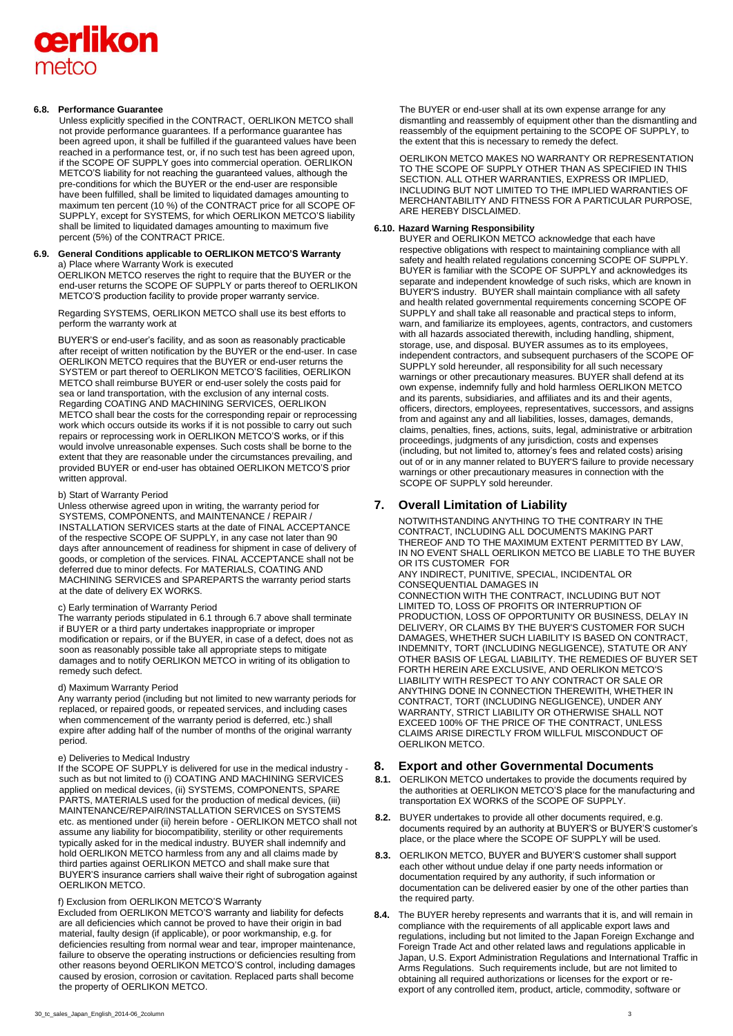# cerlikon metco

#### **6.8. Performance Guarantee**

Unless explicitly specified in the CONTRACT, OERLIKON METCO shall not provide performance guarantees. If a performance guarantee has been agreed upon, it shall be fulfilled if the guaranteed values have been reached in a performance test, or, if no such test has been agreed upon, if the SCOPE OF SUPPLY goes into commercial operation. OERLIKON METCO'S liability for not reaching the guaranteed values, although the pre-conditions for which the BUYER or the end-user are responsible have been fulfilled, shall be limited to liquidated damages amounting to maximum ten percent (10 %) of the CONTRACT price for all SCOPE OF SUPPLY, except for SYSTEMS, for which OERLIKON METCO'S liability shall be limited to liquidated damages amounting to maximum five percent (5%) of the CONTRACT PRICE.

### **6.9. General Conditions applicable to OERLIKON METCO'S Warranty**  a) Place where Warranty Work is executed OERLIKON METCO reserves the right to require that the BUYER or the

end-user returns the SCOPE OF SUPPLY or parts thereof to OERLIKON METCO'S production facility to provide proper warranty service.

Regarding SYSTEMS, OERLIKON METCO shall use its best efforts to perform the warranty work at

BUYER'S or end-user's facility, and as soon as reasonably practicable after receipt of written notification by the BUYER or the end-user. In case OERLIKON METCO requires that the BUYER or end-user returns the SYSTEM or part thereof to OERLIKON METCO'S facilities, OERLIKON METCO shall reimburse BUYER or end-user solely the costs paid for sea or land transportation, with the exclusion of any internal costs. Regarding COATING AND MACHINING SERVICES, OERLIKON METCO shall bear the costs for the corresponding repair or reprocessing work which occurs outside its works if it is not possible to carry out such repairs or reprocessing work in OERLIKON METCO'S works, or if this would involve unreasonable expenses. Such costs shall be borne to the extent that they are reasonable under the circumstances prevailing, and provided BUYER or end-user has obtained OERLIKON METCO'S prior written approval.

#### b) Start of Warranty Period

Unless otherwise agreed upon in writing, the warranty period for SYSTEMS, COMPONENTS, and MAINTENANCE / REPAIR / INSTALLATION SERVICES starts at the date of FINAL ACCEPTANCE of the respective SCOPE OF SUPPLY, in any case not later than 90 days after announcement of readiness for shipment in case of delivery of goods, or completion of the services. FINAL ACCEPTANCE shall not be deferred due to minor defects. For MATERIALS, COATING AND MACHINING SERVICES and SPAREPARTS the warranty period starts at the date of delivery EX WORKS.

#### c) Early termination of Warranty Period

The warranty periods stipulated in 6.1 through 6.7 above shall terminate if BUYER or a third party undertakes inappropriate or improper modification or repairs, or if the BUYER, in case of a defect, does not as soon as reasonably possible take all appropriate steps to mitigate damages and to notify OERLIKON METCO in writing of its obligation to remedy such defect.

#### d) Maximum Warranty Period

Any warranty period (including but not limited to new warranty periods for replaced, or repaired goods, or repeated services, and including cases when commencement of the warranty period is deferred, etc.) shall expire after adding half of the number of months of the original warranty period.

#### e) Deliveries to Medical Industry

If the SCOPE OF SUPPLY is delivered for use in the medical industry such as but not limited to (i) COATING AND MACHINING SERVICES applied on medical devices, (ii) SYSTEMS, COMPONENTS, SPARE PARTS, MATERIALS used for the production of medical devices, (iii) MAINTENANCE/REPAIR/INSTALLATION SERVICES on SYSTEMS etc. as mentioned under (ii) herein before - OERLIKON METCO shall not assume any liability for biocompatibility, sterility or other requirements typically asked for in the medical industry. BUYER shall indemnify and hold OERLIKON METCO harmless from any and all claims made by third parties against OERLIKON METCO and shall make sure that BUYER'S insurance carriers shall waive their right of subrogation against OERLIKON METCO.

#### f) Exclusion from OERLIKON METCO'S Warranty

Excluded from OERLIKON METCO'S warranty and liability for defects are all deficiencies which cannot be proved to have their origin in bad material, faulty design (if applicable), or poor workmanship, e.g. for deficiencies resulting from normal wear and tear, improper maintenance, failure to observe the operating instructions or deficiencies resulting from other reasons beyond OERLIKON METCO'S control, including damages caused by erosion, corrosion or cavitation. Replaced parts shall become the property of OERLIKON METCO.

30\_tc\_sales\_Japan\_English\_2014-06\_2column 3

The BUYER or end-user shall at its own expense arrange for any dismantling and reassembly of equipment other than the dismantling and reassembly of the equipment pertaining to the SCOPE OF SUPPLY, to the extent that this is necessary to remedy the defect.

OERLIKON METCO MAKES NO WARRANTY OR REPRESENTATION TO THE SCOPE OF SUPPLY OTHER THAN AS SPECIFIED IN THIS SECTION. ALL OTHER WARRANTIES, EXPRESS OR IMPLIED, INCLUDING BUT NOT LIMITED TO THE IMPLIED WARRANTIES OF MERCHANTABILITY AND FITNESS FOR A PARTICULAR PURPOSE, ARE HEREBY DISCLAIMED.

#### **6.10. Hazard Warning Responsibility**

BUYER and OERLIKON METCO acknowledge that each have respective obligations with respect to maintaining compliance with all safety and health related regulations concerning SCOPE OF SUPPLY. BUYER is familiar with the SCOPE OF SUPPLY and acknowledges its separate and independent knowledge of such risks, which are known in BUYER'S industry. BUYER shall maintain compliance with all safety and health related governmental requirements concerning SCOPE OF SUPPLY and shall take all reasonable and practical steps to inform, warn, and familiarize its employees, agents, contractors, and customers with all hazards associated therewith, including handling, shipment, storage, use, and disposal. BUYER assumes as to its employees, independent contractors, and subsequent purchasers of the SCOPE OF SUPPLY sold hereunder, all responsibility for all such necessary warnings or other precautionary measures. BUYER shall defend at its own expense, indemnify fully and hold harmless OERLIKON METCO and its parents, subsidiaries, and affiliates and its and their agents, officers, directors, employees, representatives, successors, and assigns from and against any and all liabilities, losses, damages, demands, claims, penalties, fines, actions, suits, legal, administrative or arbitration proceedings, judgments of any jurisdiction, costs and expenses (including, but not limited to, attorney's fees and related costs) arising out of or in any manner related to BUYER'S failure to provide necessary warnings or other precautionary measures in connection with the SCOPE OF SUPPLY sold hereunder.

# **7. Overall Limitation of Liability**

NOTWITHSTANDING ANYTHING TO THE CONTRARY IN THE CONTRACT, INCLUDING ALL DOCUMENTS MAKING PART THEREOF AND TO THE MAXIMUM EXTENT PERMITTED BY LAW, IN NO EVENT SHALL OERLIKON METCO BE LIABLE TO THE BUYER OR ITS CUSTOMER FOR

ANY INDIRECT, PUNITIVE, SPECIAL, INCIDENTAL OR CONSEQUENTIAL DAMAGES IN

CONNECTION WITH THE CONTRACT, INCLUDING BUT NOT LIMITED TO, LOSS OF PROFITS OR INTERRUPTION OF PRODUCTION, LOSS OF OPPORTUNITY OR BUSINESS, DELAY IN DELIVERY, OR CLAIMS BY THE BUYER'S CUSTOMER FOR SUCH DAMAGES, WHETHER SUCH LIABILITY IS BASED ON CONTRACT, INDEMNITY, TORT (INCLUDING NEGLIGENCE), STATUTE OR ANY OTHER BASIS OF LEGAL LIABILITY. THE REMEDIES OF BUYER SET FORTH HEREIN ARE EXCLUSIVE, AND OERLIKON METCO'S LIABILITY WITH RESPECT TO ANY CONTRACT OR SALE OR ANYTHING DONE IN CONNECTION THEREWITH, WHETHER IN CONTRACT, TORT (INCLUDING NEGLIGENCE), UNDER ANY WARRANTY, STRICT LIABILITY OR OTHERWISE SHALL NOT EXCEED 100% OF THE PRICE OF THE CONTRACT, UNLESS CLAIMS ARISE DIRECTLY FROM WILLFUL MISCONDUCT OF OERLIKON METCO.

# **8. Export and other Governmental Documents**

- **8.1.** OERLIKON METCO undertakes to provide the documents required by the authorities at OERLIKON METCO'S place for the manufacturing and transportation EX WORKS of the SCOPE OF SUPPLY.
- **8.2.** BUYER undertakes to provide all other documents required, e.g. documents required by an authority at BUYER'S or BUYER'S customer's place, or the place where the SCOPE OF SUPPLY will be used.
- **8.3.** OERLIKON METCO, BUYER and BUYER'S customer shall support each other without undue delay if one party needs information or documentation required by any authority, if such information or documentation can be delivered easier by one of the other parties than the required party.
- **8.4.** The BUYER hereby represents and warrants that it is, and will remain in compliance with the requirements of all applicable export laws and regulations, including but not limited to the Japan Foreign Exchange and Foreign Trade Act and other related laws and regulations applicable in Japan, U.S. Export Administration Regulations and International Traffic in Arms Regulations. Such requirements include, but are not limited to obtaining all required authorizations or licenses for the export or reexport of any controlled item, product, article, commodity, software or